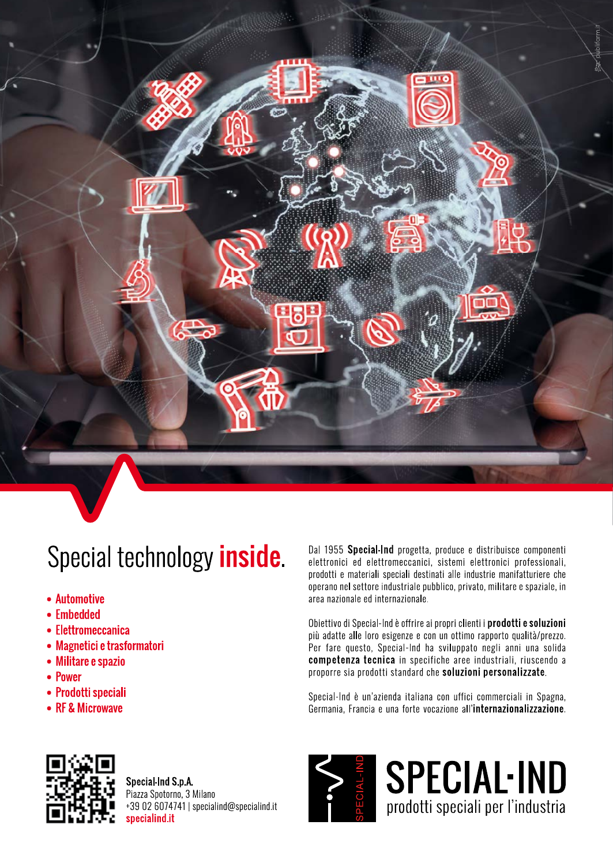

# Special technology *inside*.

- Automotive
- Embedded
- Elettromeccanica
- Magnetici e trasformatori
- Militare e spazio
- Power
- Prodotti speciali
- RF & Microwave

Dal 1955 Special-Ind progetta, produce e distribuisce componenti elettronici ed elettromeccanici, sistemi elettronici professionali, prodotti e materiali speciali destinati alle industrie manifatturiere che operano nel settore industriale pubblico, privato, militare e spaziale, in area nazionale ed internazionale.

Obiettivo di Special-Ind è offrire ai propri clienti i prodotti e soluzioni più adatte alle loro esigenze e con un ottimo rapporto qualità/prezzo. Per fare questo, Special-Ind ha sviluppato negli anni una solida competenza tecnica in specifiche aree industriali, riuscendo a proporre sia prodotti standard che soluzioni personalizzate.

Special-Ind è un'azienda italiana con uffici commerciali in Spagna, Germania, Francia e una forte vocazione all'internazionalizzazione.



Special Ind S.p.A. Piazza Spotorno, 3 Milano +39 02 6074741 | specialind@specialind.it specialind.it



**SPECIAL-IND** prodotti speciali per l'industria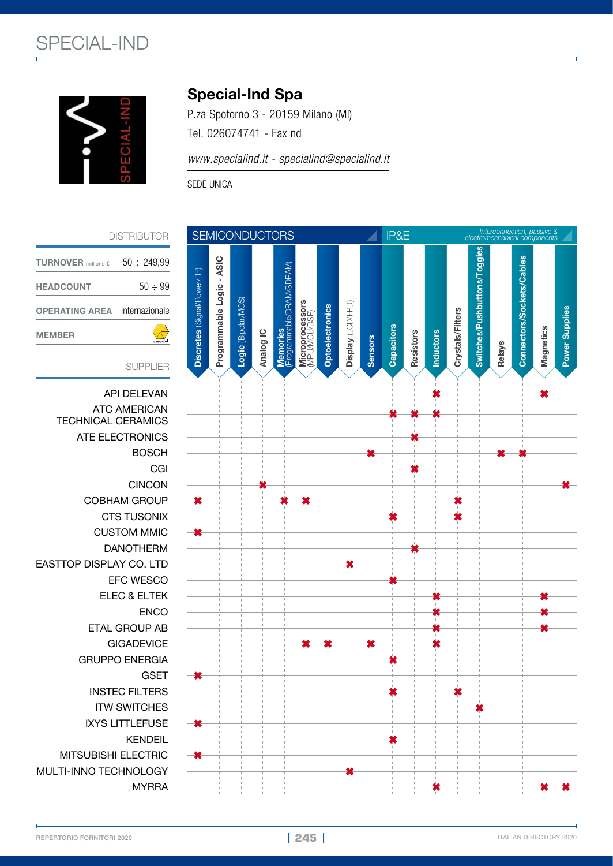

### Special-Ind Spa

P.za Spotorno 3 - 20159 Milano (MI) Tel. 026074741 - Fax nd

*www.specialind.it - specialind@specialind.it*

SEDE UNICA



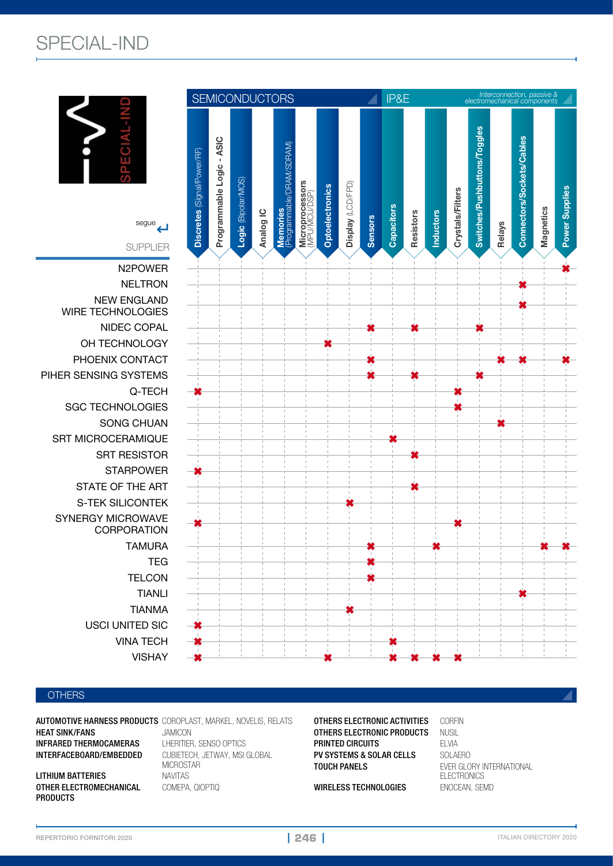## SPECIAL-IND





AUTOMOTIVE HARNESS PRODUCTS COROPLAST, MARKEL, NOVELIS, RELATS HEAT SINK/FANS JAMICON INFRARED THERMOCAMERAS LHERITIER, SENSO OPTICS

LITHIUM BATTERIES NAVITAS OTHER ELECTROMECHANICAL COMEPA, QIOPTIQ PRODUCTS

CUBIETECH, JETWAY, MSI GLOBAL MICROSTAR

**OTHERS ELECTRONIC ACTIVITIES CORFIN<br>OTHERS ELECTRONIC PRODUCTS NUSI OTHERS ELECTRONIC PRODUCTS NUSIL<br>PRINTED CIRCUITS FI VIA PRINTED CIRCUITS** ELVIA<br>**PV SYSTEMS & SOLAR CELLS** SOLAERO PV SYSTEMS & SOLAR CELLS TOUCH PANELS EVER GLORY INTERNATIONAL

WIRELESS TECHNOLOGIES ENOCEAN, SEMD

**ELECTRONICS** 

**| 246 |**